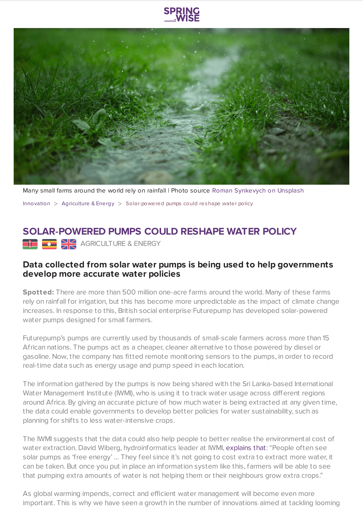

Many small farms around the world rely on rainfall | Photo source Roman [Synkevych](https://www.springwise.com/sustainability-innovation/agriculture-energy/unsplash.com) on Unsplash

[Innovation](https://www.springwise.com/search?type=innovation)  $>$  [Agriculture](https://www.springwise.com/search?type=innovation§or=agriculture-energy) & Energy  $>$  Solar-powered pumps could reshape water policy

## **SOLAR-POWERED PUMPS COULD RESHAPE WATER POLICY**

**AGRICULTURE & ENERGY** 

## **Data collected from solar water pumps is being used to help governments develop more accurate water policies**

**Spotted:** There are more than 500 million one-acre farms around the world. Many of these farms rely on rainfall for irrigation, but this has become more unpredictable as the impact of climate change increases. In response to this, British social enterprise Futurepump has developed solar-powered water pumps designed for small farmers.

Futurepump's pumps are currently used by thousands of small-scale farmers across more than 15 African nations. The pumps act as a cheaper, cleaner alternative to those powered by diesel or gasoline. Now, the company has fitted remote monitoring sensors to the pumps, in order to record real-time data such as energy usage and pump speed in each location.

The information gathered by the pumps is now being shared with the Sri Lanka-based International Water Management Institute (IWMI), who is using it to track water usage across different regions around Africa. By giving an accurate picture of how much water is being extracted at any given time, the data could enable governments to develop better policies for water sustainability, such as planning for shifts to less water-intensive crops.

The IWMI suggests that the data could also help people to better realise the environmental cost of water extraction. David Wiberg, hydroinformatics leader at IWMI, [explains](https://www.weforum.org/agenda/2020/02/solar-pumps-big-data-africa-water-energy) that: "People often see solar pumps as 'free energy' … They feel since it's not going to cost extra to extract more water, it can be taken. But once you put in place an information system like this, farmers will be able to see that pumping extra amounts of water is not helping them or their neighbours grow extra crops."

As global warming impends, correct and efficient water management will become even more important. This is why we have seen a growth in the number of innovations aimed at tackling looming